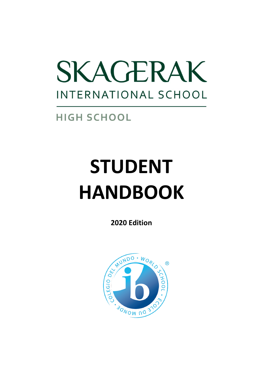

**HIGH SCHOOL** 

# **STUDENT HANDBOOK**

**2020 Edition**

<span id="page-0-0"></span>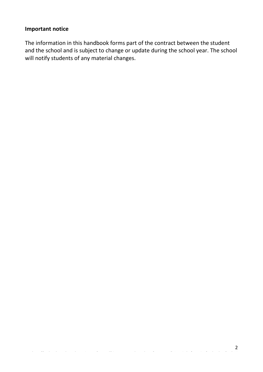# <span id="page-1-0"></span>**Important notice**

The information in this handbook forms part of the contract between the student and the school and is subject to change or update during the school year. The school will notify students of any material changes.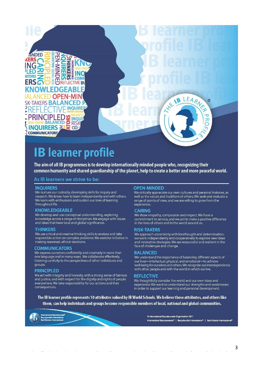

# **IB** learner profile

The aim of all IB programmes is to develop internationally minded people who, recognizing their common humanity and shared guardianship of the planet, help to create a better and more peaceful world.

#### As IB learners we strive to be:

#### **INOUIRERS**

We nurture our curiosity, developing skills for inquiry and research. We know how to learn independently and with others. We learn with enthusiasm and sustain our love of learning throughout life.

#### **KNOWLEDGEABLE**

We develop and use conceptual understanding, exploring knowledge across a range of disciplines. We engage with issues and ideas that have local and global significance.

#### **THINKERS**

We use critical and creative thinking skills to analyse and take responsible action on complex problems. We exercise initiative in making reasoned, ethical decisions.

#### **COMMUNICATORS**

We express ourselves confidently and creatively in more than one language and in many ways. We collaborate effectively, listening carefully to the perspectives of other individuals and groups.

#### **PRINCIPLED**

We act with integrity and honesty, with a strong sense of fairness and justice, and with respect for the dignity and rights of people and justice, and with respect for the dignity and rights of performance. We take responsibility for our actions and their consequences.

#### **OPEN-MINDED**

We critically appreciate our own cultures and personal histories, as well as the values and traditions of others. We seek and evaluate a range of points of view, and we are willing to grow from the experience.

#### **CARING**

We show empathy, compassion and respect. We have a commitment to service, and we act to make a positive difference in the lives of others and in the world around us.

#### **RISK-TAKERS**

We approach uncertainty with forethought and determination; we work independently and cooperatively to explore new ideas and innovative strategies. We are resourceful and resilient in the face of challenges and change.

#### **BALANCED**

We understand the importance of balancing different aspects of our lives-intellectual, physical, and emotional-to achieve well-being for ourselves and others. We recognize our interdependence with other people and with the world in which we live.

#### **RFFLFCTIVF**

We thoughtfully consider the world and our own ideas and experience. We work to understand our strengths and weaknesses in order to support our learning and personal development.

#### The IB learner profile represents 10 attributes valued by IB World Schools. We believe these attributes, and others like them, can help individuals and groups become responsible members of local, national and global communities.



C International Baccalaureate Organization 2013 International Baccalaureate<sup>®</sup> | Baccalauréat International<sup>®</sup> | Bachillerato Internacional<sup>e</sup>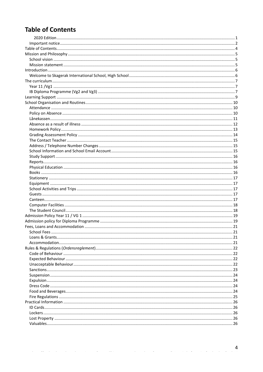# <span id="page-3-0"></span>**Table of Contents**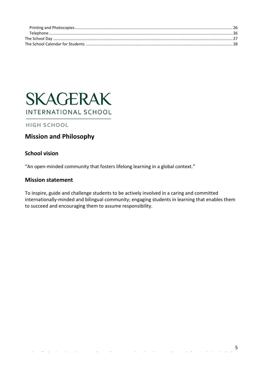# **SKAGERAK** INTERNATIONAL SCHOOL

## **HIGH SCHOOL**

## <span id="page-4-0"></span>**Mission and Philosophy**

#### <span id="page-4-1"></span>**School vision**

"An open-minded community that fosters lifelong learning in a global context."

#### <span id="page-4-2"></span>**Mission statement**

To inspire, guide and challenge students to be actively involved in a caring and committed internationally-minded and bilingual community; engaging students in learning that enables them to succeed and encouraging them to assume responsibility.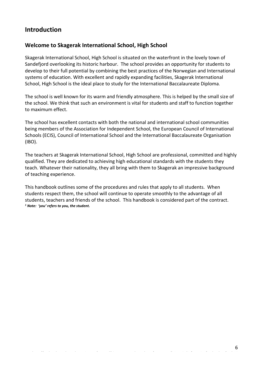## <span id="page-5-0"></span>**Introduction**

#### <span id="page-5-1"></span>**Welcome to Skagerak International School, High School**

Skagerak International School, High School is situated on the waterfront in the lovely town of Sandefjord overlooking its historic harbour. The school provides an opportunity for students to develop to their full potential by combining the best practices of the Norwegian and International systems of education. With excellent and rapidly expanding facilities, Skagerak International School, High School is the ideal place to study for the International Baccalaureate Diploma.

The school is well known for its warm and friendly atmosphere. This is helped by the small size of the school. We think that such an environment is vital for students and staff to function together to maximum effect.

The school has excellent contacts with both the national and international school communities being members of the Association for Independent School, the European Council of International Schools (ECIS), Council of International School and the International Baccalaureate Organisation (IBO).

The teachers at Skagerak International School, High School are professional, committed and highly qualified. They are dedicated to achieving high educational standards with the students they teach. Whatever their nationality, they all bring with them to Skagerak an impressive background of teaching experience.

This handbook outlines some of the procedures and rules that apply to all students. When students respect them, the school will continue to operate smoothly to the advantage of all students, teachers and friends of the school. This handbook is considered part of the contract. *<sup>1</sup> Note: 'you' refers to you, the student.*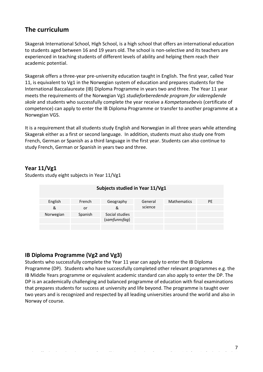## <span id="page-6-0"></span>**The curriculum**

Skagerak International School, High School, is a high school that offers an international education to students aged between 16 and 19 years old. The school is non-selective and its teachers are experienced in teaching students of different levels of ability and helping them reach their academic potential.

Skagerak offers a three-year pre-university education taught in English. The first year, called Year 11, is equivalent to Vg1 in the Norwegian system of education and prepares students for the International Baccalaureate (IB) Diploma Programme in years two and three. The Year 11 year meets the requirements of the Norwegian Vg1 *studieforberedende program for videregående skole* and students who successfully complete the year receive a *Kompetansebevis* (certificate of competence) can apply to enter the IB Diploma Programme or transfer to another programme at a Norwegian VGS.

It is a requirement that all students study English and Norwegian in all three years while attending Skagerak either as a first or second language. In addition, students must also study one from French, German or Spanish as a third language in the first year. Students can also continue to study French, German or Spanish in years two and three.

## <span id="page-6-1"></span>**Year 11/Vg1**

Students study eight subjects in Year 11/Vg1

|           |         | Subjects studied in Year 11/Vg1 |                    |                    |           |
|-----------|---------|---------------------------------|--------------------|--------------------|-----------|
| English   | French  | Geography                       | General<br>science | <b>Mathematics</b> | <b>PE</b> |
| ୍ଷ        | or      | &                               |                    |                    |           |
| Norwegian | Spanish | Social studies                  |                    |                    |           |
|           |         | (samfunnsfag)                   |                    |                    |           |
|           |         |                                 |                    |                    |           |

## <span id="page-6-2"></span>**IB Diploma Programme (Vg2 and Vg3)**

Students who successfully complete the Year 11 year can apply to enter the IB Diploma Programme (DP). Students who have successfully completed other relevant programmes e.g. the IB Middle Years programme or equivalent academic standard can also apply to enter the DP. The DP is an academically challenging and balanced programme of education with final examinations that prepares students for success at university and life beyond. The programme is taught over two years and is recognized and respected by all leading universities around the world and also in Norway of course.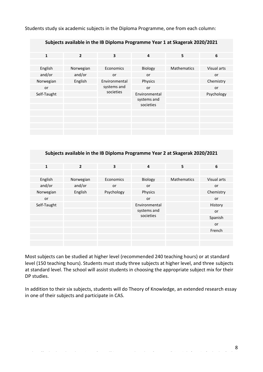Students study six academic subjects in the Diploma Programme, one from each column:

| $\mathbf{1}$ | $\overline{2}$ | 3             | 4             | 5                  | 6           |
|--------------|----------------|---------------|---------------|--------------------|-------------|
|              |                |               |               |                    |             |
| English      | Norwegian      | Economics     | Biology       | <b>Mathematics</b> | Visual arts |
| and/or       | and/or         | or            | <b>or</b>     |                    | or          |
| Norwegian    | English        | Environmental | Physics       |                    | Chemistry   |
| or           |                | systems and   | <b>or</b>     |                    | or          |
| Self-Taught  |                | societies     | Environmental |                    | Psychology  |
|              |                |               | systems and   |                    |             |
|              |                |               | societies     |                    |             |
|              |                |               |               |                    |             |
|              |                |               |               |                    |             |
|              |                |               |               |                    |             |
|              |                |               |               |                    |             |

#### **Subjects available in the IB Diploma Programme Year 1 at Skagerak 2020/2021**

#### **Subjects available in the IB Diploma Programme Year 2 at Skagerak 2020/2021**

| $\mathbf{1}$ | $\overline{2}$ | 3          | 4             | 5                  | 6           |
|--------------|----------------|------------|---------------|--------------------|-------------|
|              |                |            |               |                    |             |
| English      | Norwegian      | Economics  | Biology       | <b>Mathematics</b> | Visual arts |
| and/or       | and/or         | or         | or            |                    | or          |
| Norwegian    | English        | Psychology | Physics       |                    | Chemistry   |
| or           |                |            | or            |                    | or          |
| Self-Taught  |                |            | Environmental |                    | History     |
|              |                |            | systems and   |                    | or          |
|              |                |            | societies     |                    | Spanish     |
|              |                |            |               |                    | or          |
|              |                |            |               |                    | French      |
|              |                |            |               |                    |             |
|              |                |            |               |                    |             |

Most subjects can be studied at higher level (recommended 240 teaching hours) or at standard level (150 teaching hours). Students must study three subjects at higher level, and three subjects at standard level. The school will assist students in choosing the appropriate subject mix for their DP studies.

In addition to their six subjects, students will do Theory of Knowledge, an extended research essay in one of their subjects and participate in CAS.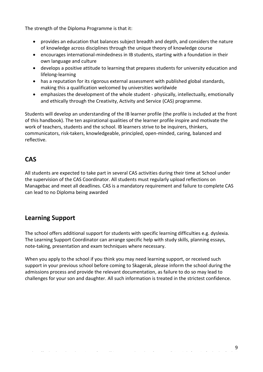The strength of the Diploma Programme is that it:

- provides an education that balances subject breadth and depth, and considers the nature of knowledge across disciplines through the unique theory of knowledge course
- encourages international-mindedness in IB students, starting with a foundation in their own language and culture
- develops a positive attitude to learning that prepares students for university education and lifelong-learning
- has a reputation for its rigorous external assessment with published global standards, making this a qualification welcomed by universities worldwide
- emphasizes the development of the whole student physically, intellectually, emotionally and ethically through the Creativity, Activity and Service (CAS) programme.

Students will develop an understanding of the IB learner profile (the profile is included at the front of this handbook). The ten aspirational qualities of the learner profile inspire and motivate the work of teachers, students and the school. IB learners strive to be inquirers, thinkers, communicators, risk-takers, knowledgeable, principled, open-minded, caring, balanced and reflective.

## **CAS**

All students are expected to take part in several CAS activities during their time at School under the supervision of the CAS Coordinator. All students must regularly upload reflections on Managebac and meet all deadlines. CAS is a mandatory requirement and failure to complete CAS can lead to no Diploma being awarded

## <span id="page-8-0"></span>**Learning Support**

The school offers additional support for students with specific learning difficulties e.g. dyslexia. The Learning Support Coordinator can arrange specific help with study skills, planning essays, note-taking, presentation and exam techniques where necessary.

When you apply to the school if you think you may need learning support, or received such support in your previous school before coming to Skagerak, please inform the school during the admissions process and provide the relevant documentation, as failure to do so may lead to challenges for your son and daughter. All such information is treated in the strictest confidence.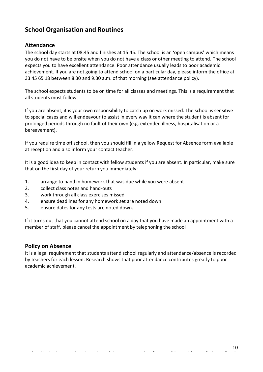# <span id="page-9-0"></span>**School Organisation and Routines**

#### <span id="page-9-1"></span>**Attendance**

The school day starts at 08:45 and finishes at 15:45. The school is an 'open campus' which means you do not have to be onsite when you do not have a class or other meeting to attend. The school expects you to have excellent attendance. Poor attendance usually leads to poor academic achievement. If you are not going to attend school on a particular day, please inform the office at 33 45 65 18 between 8.30 and 9.30 a.m. of that morning (see attendance policy).

The school expects students to be on time for all classes and meetings. This is a requirement that all students must follow.

If you are absent, it is your own responsibility to catch up on work missed. The school is sensitive to special cases and will endeavour to assist in every way it can where the student is absent for prolonged periods through no fault of their own (e.g. extended illness, hospitalisation or a bereavement).

If you require time off school, then you should fill in a yellow Request for Absence form available at reception and also inform your contact teacher.

It is a good idea to keep in contact with fellow students if you are absent. In particular, make sure that on the first day of your return you immediately:

- 1. arrange to hand in homework that was due while you were absent
- 2. collect class notes and hand-outs
- 3. work through all class exercises missed
- 4. ensure deadlines for any homework set are noted down
- 5. ensure dates for any tests are noted down.

If it turns out that you cannot attend school on a day that you have made an appointment with a member of staff, please cancel the appointment by telephoning the school

#### <span id="page-9-2"></span>**Policy on Absence**

It is a legal requirement that students attend school regularly and attendance/absence is recorded by teachers for each lesson. Research shows that poor attendance contributes greatly to poor academic achievement.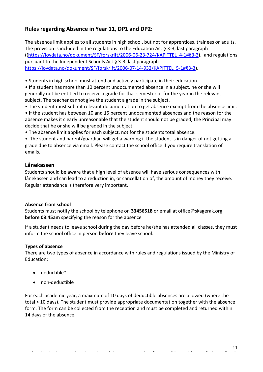## **Rules regarding Absence in Year 11, DP1 and DP2:**

The absence limit applies to all students in high school, but not for apprentices, trainees or adults. The provision is included in the regulations to the Education Act § 3-3, last paragraph ([\(https://lovdata.no/dokument/SF/forskrift/2006-06-23-724/KAPITTEL\\_4-1#§3-3\)](https://lovdata.no/dokument/SF/forskrift/2006-06-23-724/KAPITTEL_4-1#§3-3), and regulations pursuant to the Independent Schools Act § 3-3, last paragraph [https://lovdata.no/dokument/SF/forskrift/2006-07-14-932/KAPITTEL\\_5-1#§3-3\)](https://lovdata.no/dokument/SF/forskrift/2006-07-14-932/KAPITTEL_5-1#§3-3).

• Students in high school must attend and actively participate in their education.

• If a student has more than 10 percent undocumented absence in a subject, he or she will generally not be entitled to receive a grade for that semester or for the year in the relevant subject. The teacher cannot give the student a grade in the subject.

- The student must submit relevant documentation to get absence exempt from the absence limit.
- If the student has between 10 and 15 percent undocumented absences and the reason for the absence makes it clearly unreasonable that the student should not be graded, the Principal may decide that he or she will be graded in the subject.
- The absence limit applies for each subject, not for the students total absence.

• The student and parent/guardian will get a warning if the student is in danger of not getting a grade due to absence via email. Please contact the school office if you require translation of emails.

#### <span id="page-10-0"></span>**Lånekassen**

Students should be aware that a high level of absence will have serious consequences with lånekassen and can lead to a reduction in, or cancellation of, the amount of money they receive. Regular attendance is therefore very important.

#### **Absence from school**

Students must notify the school by telephone on **33456518** or email at office@skagerak.org **before 08:45am** specifying the reason for the absence

If a student needs to leave school during the day before he/she has attended all classes, they must inform the school office in person **before** they leave school.

#### **Types of absence**

There are two types of absence in accordance with rules and regulations issued by the Ministry of Education:

- deductible\*
- non-deductible

For each academic year, a maximum of 10 days of deductible absences are allowed (where the total > 10 days). The student must provide appropriate documentation together with the absence form. The form can be collected from the reception and must be completed and returned within 14 days of the absence.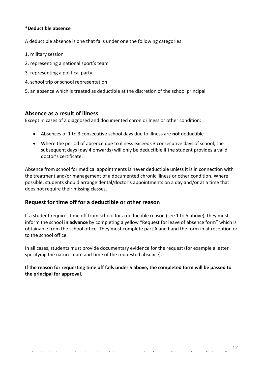#### **\*Deductible absence**

A deductible absence is one that falls under one the following categories:

- 1. military session
- 2. representing a national sport's team
- 3. representing a political party
- 4. school trip or school representation
- 5. an absence which is treated as deductible at the discretion of the school principal

#### <span id="page-11-0"></span>**Absence as a result of illness**

Except in cases of a diagnosed and documented chronic illness or other condition:

- Absences of 1 to 3 consecutive school days due to illness are **not** deductible
- Where the period of absence due to illness exceeds 3 consecutive days of school, the subsequent days (day 4 onwards) will only be deductible if the student provides a valid doctor's certificate.

Absence from school for medical appointments is never deductible unless it is in connection with the treatment and/or management of a documented chronic illness or other condition. Where possible, students should arrange dental/doctor's appointments on a day and/or at a time that does not require their missing classes.

#### **Request for time off for a deductible or other reason**

If a student requires time off from school for a deductible reason (see 1 to 5 above), they must inform the school **in advance** by completing a yellow "Request for leave of absence form" which is obtainable from the school office. They must complete part A and hand the form in at reception or to the school office.

In all cases, students must provide documentary evidence for the request (for example a letter specifying the nature, date and time of the requested absence).

**If the reason for requesting time off falls under 5 above, the completed form will be passed to the principal for approval.**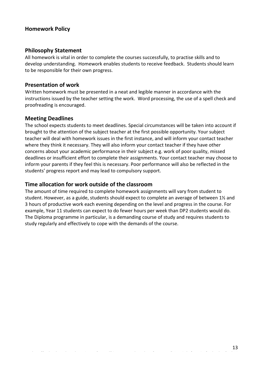#### <span id="page-12-0"></span>**Homework Policy**

#### **Philosophy Statement**

All homework is vital in order to complete the courses successfully, to practise skills and to develop understanding. Homework enables students to receive feedback. Students should learn to be responsible for their own progress.

#### **Presentation of work**

Written homework must be presented in a neat and legible manner in accordance with the instructions issued by the teacher setting the work. Word processing, the use of a spell check and proofreading is encouraged.

#### **Meeting Deadlines**

The school expects students to meet deadlines. Special circumstances will be taken into account if brought to the attention of the subject teacher at the first possible opportunity. Your subject teacher will deal with homework issues in the first instance, and will inform your contact teacher where they think it necessary. They will also inform your contact teacher if they have other concerns about your academic performance in their subject e.g. work of poor quality, missed deadlines or insufficient effort to complete their assignments. Your contact teacher may choose to inform your parents if they feel this is necessary. Poor performance will also be reflected in the students' progress report and may lead to compulsory support.

#### **Time allocation for work outside of the classroom**

The amount of time required to complete homework assignments will vary from student to student. However, as a guide, students should expect to complete an average of between 1½ and 3 hours of productive work each evening depending on the level and progress in the course. For example, Year 11 students can expect to do fewer hours per week than DP2 students would do. The Diploma programme in particular, is a demanding course of study and requires students to study regularly and effectively to cope with the demands of the course.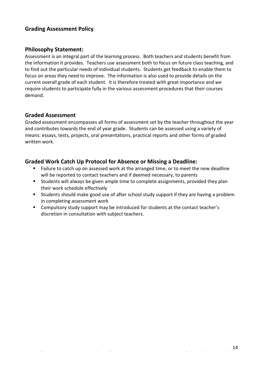#### <span id="page-13-0"></span>**Grading Assessment Policy**

#### **Philosophy Statement:**

Assessment is an integral part of the learning process. Both teachers and students benefit from the information it provides. Teachers use assessment both to focus on future class teaching, and to find out the particular needs of individual students. Students get feedback to enable them to focus on areas they need to improve. The information is also used to provide details on the current overall grade of each student. It is therefore treated with great importance and we require students to participate fully in the various assessment procedures that their courses demand.

#### **Graded Assessment**

Graded assessment encompasses all forms of assessment set by the teacher throughout the year and contributes towards the end of year grade. Students can be assessed using a variety of means: essays, tests, projects, oral presentations, practical reports and other forms of graded written work.

#### **Graded Work Catch Up Protocol for Absence or Missing a Deadline:**

- Failure to catch up on assessed work at the arranged time, or to meet the new deadline will be reported to contact teachers and if deemed necessary, to parents
- Students will always be given ample time to complete assignments, provided they plan their work schedule effectively
- Students should make good use of after school study support if they are having a problem in completing assessment work

https://studentskagerak-my.sharepoint.com/personal/ni\_gustavsson\_skagerak\_org/Documents/01Practical Information/Student handbook HS

■ Compulsory study support may be introduced for students at the contact teacher's discretion in consultation with subject teachers.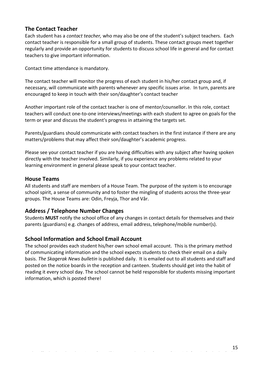## <span id="page-14-0"></span>**The Contact Teacher**

Each student has a *contact teacher,* who may also be one of the student's subject teachers. Each contact teacher is responsible for a small group of students. These contact groups meet together regularly and provide an opportunity for students to discuss school life in general and for contact teachers to give important information.

Contact time attendance is mandatory.

The contact teacher will monitor the progress of each student in his/her contact group and, if necessary, will communicate with parents whenever any specific issues arise. In turn, parents are encouraged to keep in touch with their son/daughter's contact teacher

Another important role of the contact teacher is one of mentor/counsellor. In this role, contact teachers will conduct one-to-one interviews/meetings with each student to agree on goals for the term or year and discuss the student's progress in attaining the targets set.

Parents/guardians should communicate with contact teachers in the first instance if there are any matters/problems that may affect their son/daughter's academic progress.

Please see your contact teacher if you are having difficulties with any subject after having spoken directly with the teacher involved. Similarly, if you experience any problems related to your learning environment in general please speak to your contact teacher.

#### **House Teams**

All students and staff are members of a House Team. The purpose of the system is to encourage school spirit, a sense of community and to foster the mingling of students across the three-year groups. The House Teams are: Odin, Freyja, Thor and Vår.

#### <span id="page-14-1"></span>**Address / Telephone Number Changes**

Students **MUST** notify the school office of any changes in contact details for themselves and their parents (guardians) e.g. changes of address, email address, telephone/mobile number(s).

#### <span id="page-14-2"></span>**School Information and School Email Account**

The school provides each student his/her own school email account. This is the primary method of communicating information and the school expects students to check their email on a daily basis. *The Skagerak News bulletin* is published daily. It is emailed out to all students and staff and posted on the notice boards in the reception and canteen. Students should get into the habit of reading it every school day. The school cannot be held responsible for students missing important information, which is posted there!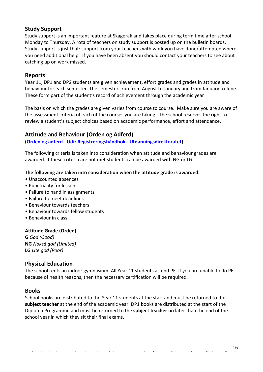#### <span id="page-15-0"></span>**Study Support**

Study support is an important feature at Skagerak and takes place during term time after school Monday to Thursday. A rota of teachers on study support is posted up on the bulletin boards. Study support is just that: support from your teachers with work you have done/attempted where you need additional help. If you have been absent you should contact your teachers to see about catching up on work missed.

#### <span id="page-15-1"></span>**Reports**

Year 11, DP1 and DP2 students are given achievement, effort grades and grades in attitude and behaviour for each semester. The semesters run from August to January and from January to June. These form part of the student's record of achievement through the academic year

The basis on which the grades are given varies from course to course. Make sure you are aware of the assessment criteria of each of the courses you are taking. The school reserves the right to review a student's subject choices based on academic performance, effort and attendance.

#### **Attitude and Behaviour (Orden og Adferd)**

**(Orden og adferd - [Udir Registreringshåndbok -](http://regbok.udir.no/35004/3344/35042-1018646.html) Utdanningsdirektoratet)**

The following criteria is taken into consideration when attitude and behaviour grades are awarded. If these criteria are not met students can be awarded with NG or LG.

#### **The following are taken into consideration when the attitude grade is awarded:**

- Unaccounted absences
- Punctuality for lessons
- Failure to hand in assignments
- Failure to meet deadlines
- Behaviour towards teachers
- Behaviour towards fellow students
- Behaviour in class

#### **Attitude Grade (Orden)**

**G** *God (Good)* **NG** *Nokså god (Limited)* **LG** *Lite god (Poor)*

#### <span id="page-15-2"></span>**Physical Education**

The school rents an indoor gymnasium. All Year 11 students attend PE. If you are unable to do PE because of health reasons, then the necessary certification will be required.

#### <span id="page-15-3"></span>**Books**

School books are distributed to the Year 11 students at the start and must be returned to the **subject teacher** at the end of the academic year. DP1 books are distributed at the start of the Diploma Programme and must be returned to the **subject teacher** no later than the end of the school year in which they sit their final exams.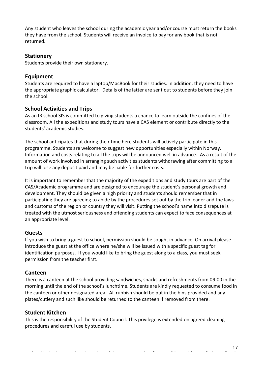Any student who leaves the school during the academic year and/or course must return the books they have from the school. Students will receive an invoice to pay for any book that is not returned.

#### <span id="page-16-0"></span>**Stationery**

Students provide their own stationery.

#### <span id="page-16-1"></span>**Equipment**

Students are required to have a laptop/MacBook for their studies. In addition, they need to have the appropriate graphic calculator. Details of the latter are sent out to students before they join the school.

#### <span id="page-16-2"></span>**School Activities and Trips**

As an IB school SIS is committed to giving students a chance to learn outside the confines of the classroom. All the expeditions and study tours have a CAS element or contribute directly to the students' academic studies.

The school anticipates that during their time here students will actively participate in this programme. Students are welcome to suggest new opportunities especially within Norway. Information and costs relating to all the trips will be announced well in advance. As a result of the amount of work involved in arranging such activities students withdrawing after committing to a trip will lose any deposit paid and may be liable for further costs.

It is important to remember that the majority of the expeditions and study tours are part of the CAS/Academic programme and are designed to encourage the student's personal growth and development. They should be given a high priority and students should remember that in participating they are agreeing to abide by the procedures set out by the trip leader and the laws and customs of the region or country they will visit. Putting the school's name into disrepute is treated with the utmost seriousness and offending students can expect to face consequences at an appropriate level.

#### <span id="page-16-3"></span>**Guests**

If you wish to bring a guest to school, permission should be sought in advance. On arrival please introduce the guest at the office where he/she will be issued with a specific guest tag for identification purposes. If you would like to bring the guest along to a class, you must seek permission from the teacher first.

#### <span id="page-16-4"></span>**Canteen**

There is a canteen at the school providing sandwiches, snacks and refreshments from 09:00 in the morning until the end of the school's lunchtime. Students are kindly requested to consume food in the canteen or other designated area. All rubbish should be put in the bins provided and any plates/cutlery and such like should be returned to the canteen if removed from there.

#### **Student Kitchen**

This is the responsibility of the Student Council. This privilege is extended on agreed cleaning procedures and careful use by students.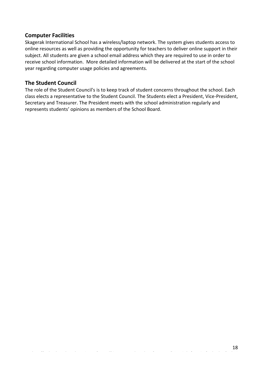#### <span id="page-17-0"></span>**Computer Facilities**

Skagerak International School has a wireless/laptop network. The system gives students access to online resources as well as providing the opportunity for teachers to deliver online support in their subject. All students are given a school email address which they are required to use in order to receive school information. More detailed information will be delivered at the start of the school year regarding computer usage policies and agreements.

#### <span id="page-17-1"></span>**The Student Council**

The role of the Student Council's is to keep track of student concerns throughout the school. Each class elects a representative to the Student Council. The Students elect a President, Vice-President, Secretary and Treasurer. The President meets with the school administration regularly and represents students' opinions as members of the School Board.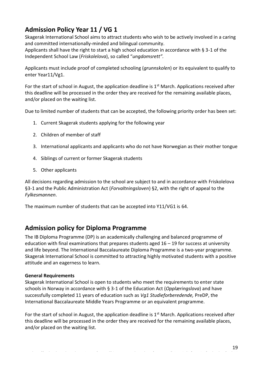# <span id="page-18-0"></span>**Admission Policy Year 11 / VG 1**

Skagerak International School aims to attract students who wish to be actively involved in a caring and committed internationally-minded and bilingual community.

Applicants shall have the right to start a high school education in accordance with § 3-1 of the Independent School Law (*Friskolelova*), so called "*ungdomsrett".*

Applicants must include proof of completed schooling (*grunnskolen*) or its equivalent to qualify to enter Year11/Vg1.

For the start of school in August, the application deadline is  $1<sup>st</sup>$  March. Applications received after this deadline will be processed in the order they are received for the remaining available places, and/or placed on the waiting list.

Due to limited number of students that can be accepted, the following priority order has been set:

- 1. Current Skagerak students applying for the following year
- 2. Children of member of staff
- 3. International applicants and applicants who do not have Norwegian as their mother tongue
- 4. Siblings of current or former Skagerak students
- 5. Other applicants

All decisions regarding admission to the school are subject to and in accordance with Friskolelova §3-1 and the Public Administration Act (*Forvaltningsloven*) §2, with the right of appeal to the *Fylkesmannen*.

The maximum number of students that can be accepted into Y11/VG1 is 64.

## <span id="page-18-1"></span>**Admission policy for Diploma Programme**

The IB Diploma Programme (DP) is an academically challenging and balanced programme of education with final examinations that prepares students aged  $16 - 19$  for success at university and life beyond. The International Baccalaureate Diploma Programme is a two-year programme. Skagerak International School is committed to attracting highly motivated students with a positive attitude and an eagerness to learn.

#### **General Requirements**

Skagerak International School is open to students who meet the requirements to enter state schools in Norway in accordance with [§ 3-1 of the Education Act \(](http://lovdata.no/lov/1998-07-17-61/%C3%82%C2%A73-1)*Opplæringslova*) and have successfully completed 11 years of education such as *Vg1 Studieforberedende,* PreDP, the International Baccalaureate Middle Years Programme or an equivalent programme.

For the start of school in August, the application deadline is  $1<sup>st</sup>$  March. Applications received after this deadline will be processed in the order they are received for the remaining available places, and/or placed on the waiting list.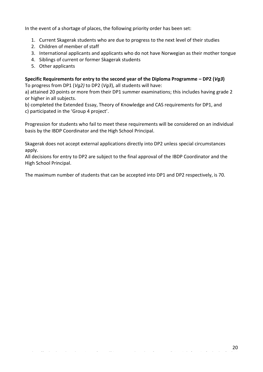In the event of a shortage of places, the following priority order has been set:

- 1. Current Skagerak students who are due to progress to the next level of their studies
- 2. Children of member of staff
- 3. International applicants and applicants who do not have Norwegian as their mother tongue
- 4. Siblings of current or former Skagerak students
- 5. Other applicants

**Specific Requirements for entry to the second year of the Diploma Programme – DP2 (***Vg3***)**

To progress from DP1 (*Vg2)* to DP2 (*Vg3*), all students will have:

a) attained 20 points or more from their DP1 summer examinations; this includes having grade 2 or higher in all subjects.

b) completed the Extended Essay, Theory of Knowledge and CAS requirements for DP1, and c) participated in the 'Group 4 project'.

Progression for students who fail to meet these requirements will be considered on an individual basis by the IBDP Coordinator and the High School Principal.

Skagerak does not accept external applications directly into DP2 unless special circumstances apply.

All decisions for entry to DP2 are subject to the final approval of the IBDP Coordinator and the High School Principal.

The maximum number of students that can be accepted into DP1 and DP2 respectively, is 70.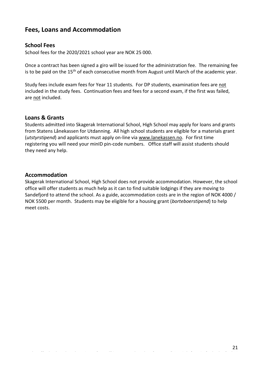## <span id="page-20-0"></span>**Fees, Loans and Accommodation**

#### <span id="page-20-1"></span>**School Fees**

School fees for the 2020/2021 school year are NOK 25 000.

Once a contract has been signed a giro will be issued for the administration fee. The remaining fee is to be paid on the  $15<sup>th</sup>$  of each consecutive month from August until March of the academic year.

Study fees include exam fees for Year 11 students. For DP students, examination fees are not included in the study fees. Continuation fees and fees for a second exam, if the first was failed, are not included.

#### <span id="page-20-2"></span>**Loans & Grants**

Students admitted into Skagerak International School, High School may apply for loans and grants from Statens Lånekassen for Utdanning. All high school students are eligible for a materials grant (*utstyrstipend*) and applicants must apply on-line via [www.lanekassen.no.](http://www.lanekassen.no/) For first time registering you will need your minID pin-code numbers. Office staff will assist students should they need any help.

#### <span id="page-20-3"></span>**Accommodation**

Skagerak International School, High School does not provide accommodation. However, the school office will offer students as much help as it can to find suitable lodgings if they are moving to Sandefjord to attend the school. As a guide, accommodation costs are in the region of NOK 4000 / NOK 5500 per month. Students may be eligible for a housing grant (*borteboerstipend*) to help meet costs.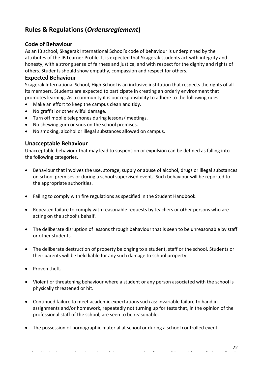# <span id="page-21-0"></span>**Rules & Regulations (***Ordensreglement***)**

#### <span id="page-21-1"></span>**Code of Behaviour**

As an IB school, Skagerak International School's code of behaviour is underpinned by the attributes of the IB Learner Profile. It is expected that Skagerak students act with integrity and honesty, with a strong sense of fairness and justice, and with respect for the dignity and rights of others. Students should show empathy, compassion and respect for others.

#### <span id="page-21-2"></span>**Expected Behaviour**

Skagerak International School, High School is an inclusive institution that respects the rights of all its members. Students are expected to participate in creating an orderly environment that promotes learning. As a community it is our responsibility to adhere to the following rules:

- Make an effort to keep the campus clean and tidy.
- No graffiti or other wilful damage.
- Turn off mobile telephones during lessons/ meetings.
- No chewing gum or snus on the school premises.
- No smoking, alcohol or illegal substances allowed on campus.

#### <span id="page-21-3"></span>**Unacceptable Behaviour**

Unacceptable behaviour that may lead to suspension or expulsion can be defined as falling into the following categories.

- Behaviour that involves the use, storage, supply or abuse of alcohol, drugs or illegal substances on school premises or during a school supervised event. Such behaviour will be reported to the appropriate authorities.
- Failing to comply with fire regulations as specified in the Student Handbook.
- Repeated failure to comply with reasonable requests by teachers or other persons who are acting on the school's behalf.
- The deliberate disruption of lessons through behaviour that is seen to be unreasonable by staff or other students.
- The deliberate destruction of property belonging to a student, staff or the school. Students or their parents will be held liable for any such damage to school property.
- Proven theft.
- Violent or threatening behaviour where a student or any person associated with the school is physically threatened or hit.
- Continued failure to meet academic expectations such as: invariable failure to hand in assignments and/or homework, repeatedly not turning up for tests that, in the opinion of the professional staff of the school, are seen to be reasonable.

https://studentskagerak-my.sharepoint.com/personal/ni\_gustavsson\_skagerak\_org/Documents/01Practical Information/Student handbook HS

• The possession of pornographic material at school or during a school controlled event.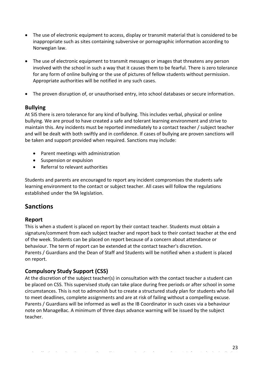- The use of electronic equipment to access, display or transmit material that is considered to be inappropriate such as sites containing subversive or pornographic information according to Norwegian law.
- The use of electronic equipment to transmit messages or images that threatens any person involved with the school in such a way that it causes them to be fearful. There is zero tolerance for any form of online bullying or the use of pictures of fellow students without permission. Appropriate authorities will be notified in any such cases.
- The proven disruption of, or unauthorised entry, into school databases or secure information.

#### **Bullying**

At SIS there is zero tolerance for any kind of bullying. This includes verbal, physical or online bullying. We are proud to have created a safe and tolerant learning environment and strive to maintain this. Any incidents must be reported immediately to a contact teacher / subject teacher and will be dealt with both swiftly and in confidence. If cases of bullying are proven sanctions will be taken and support provided when required. Sanctions may include:

- Parent meetings with administration
- Suspension or expulsion
- Referral to relevant authorities

Students and parents are encouraged to report any incident compromises the students safe learning environment to the contact or subject teacher. All cases will follow the regulations established under the 9A legislation.

## <span id="page-22-0"></span>**Sanctions**

#### **Report**

This is when a student is placed on report by their contact teacher. Students must obtain a signature/comment from each subject teacher and report back to their contact teacher at the end of the week. Students can be placed on report because of a concern about attendance or behaviour. The term of report can be extended at the contact teacher's discretion. Parents / Guardians and the Dean of Staff and Students will be notified when a student is placed on report.

#### **Compulsory Study Support (CSS)**

At the discretion of the subject teacher(s) in consultation with the contact teacher a student can be placed on CSS. This supervised study can take place during free periods or after school in some circumstances. This is not to admonish but to create a structured study plan for students who fail to meet deadlines, complete assignments and are at risk of failing without a compelling excuse. Parents / Guardians will be informed as well as the IB Coordinator in such cases via a behaviour note on ManageBac. A minimum of three days advance warning will be issued by the subject teacher.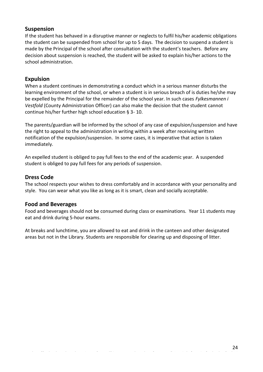#### <span id="page-23-0"></span>**Suspension**

If the student has behaved in a disruptive manner or neglects to fulfil his/her academic obligations the student can be suspended from school for up to 5 days. The decision to suspend a student is made by the Principal of the school after consultation with the student's teachers. Before any decision about suspension is reached, the student will be asked to explain his/her actions to the school administration.

#### <span id="page-23-1"></span>**Expulsion**

When a student continues in demonstrating a conduct which in a serious manner disturbs the learning environment of the school, or when a student is in serious breach of is duties he/she may be expelled by the Principal for the remainder of the school year. In such cases *Fylkesmannen i Vestfold* (County Administration Officer) can also make the decision that the student cannot continue his/her further high school education § 3- 10.

The parents/guardian will be informed by the school of any case of expulsion/suspension and have the right to appeal to the administration in writing within a week after receiving written notification of the expulsion/suspension. In some cases, it is imperative that action is taken immediately.

<span id="page-23-2"></span>An expelled student is obliged to pay full fees to the end of the academic year. A suspended student is obliged to pay full fees for any periods of suspension.

## **Dress Code**

The school respects your wishes to dress comfortably and in accordance with your personality and style. You can wear what you like as long as it is smart, clean and socially acceptable.

## <span id="page-23-3"></span>**Food and Beverages**

Food and beverages should not be consumed during class or examinations. Year 11 students may eat and drink during 5-hour exams.

At breaks and lunchtime, you are allowed to eat and drink in the canteen and other designated areas but not in the Library. Students are responsible for clearing up and disposing of litter.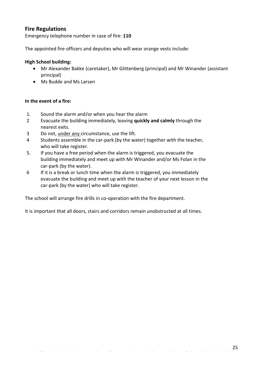#### <span id="page-24-0"></span>**Fire Regulations**

Emergency telephone number in case of fire: **110**

The appointed fire officers and deputies who will wear orange vests include:

#### **High School building:**

- Mr Alexander Bakke (caretaker), Mr Glittenberg (principal) and Mr Winander (assistant principal)
- Ms Budde and Ms Larsen

#### **In the event of a fire:**

- 1. Sound the alarm and/or when you hear the alarm
- 2 Evacuate the building immediately, leaving **quickly and calmly** through the nearest exits.
- 3 Do not, under any circumstance, use the lift.
- 4 Students assemble in the car-park (by the water) together with the teacher, who will take register.
- 5. If you have a free period when the alarm is triggered, you evacuate the building immediately and meet up with Mr Winander and/or Ms Folan in the car-park (by the water).
- 6 If it is a break or lunch time when the alarm is triggered, you immediately evacuate the building and meet up with the teacher of your next lesson in the car-park (by the water) who will take register.

The school will arrange fire drills in co-operation with the fire department.

It is important that all doors, stairs and corridors remain unobstructed at all times.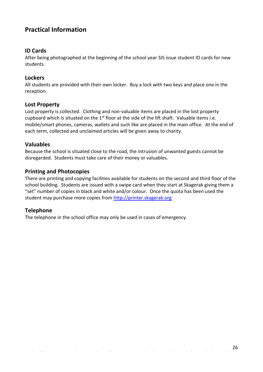# <span id="page-25-0"></span>**Practical Information**

#### <span id="page-25-1"></span>**ID Cards**

After being photographed at the beginning of the school year SIS issue student ID cards for new students.

#### <span id="page-25-2"></span>**Lockers**

All students are provided with their own locker. Buy a lock with two keys and place one in the reception.

#### <span id="page-25-3"></span>**Lost Property**

Lost property is collected. Clothing and non-valuable items are placed in the lost property cupboard which is situated on the 1<sup>st</sup> floor at the side of the lift shaft. Valuable items i.e. mobile/smart phones, cameras, wallets and such like are placed in the main office. At the end of each term, collected and unclaimed articles will be given away to charity.

#### <span id="page-25-4"></span>**Valuables**

Because the school is situated close to the road, the intrusion of unwanted guests cannot be disregarded. Students must take care of their money or valuables.

#### <span id="page-25-5"></span>**Printing and Photocopies**

There are printing and copying facilities available for students on the second and third floor of the school building. Students are issued with a swipe card when they start at Skagerak giving them a "set" number of copies in black and white and/or colour. Once the quota has been used the student may purchase more copies from [http://printer.skagerak.org](http://printer.skagerak.org/)

https://studentskagerak-my.sharepoint.com/personal/ni\_gustavsson\_skagerak\_org/Documents/01Practical Information/Student handbook HS

#### <span id="page-25-6"></span>**Telephone**

The telephone in the school office may only be used in cases of emergency.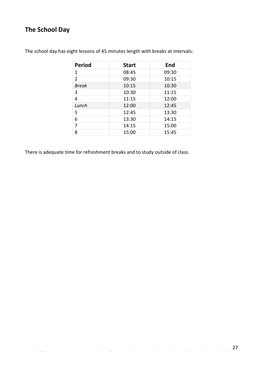# <span id="page-26-0"></span>**The School Day**

| <b>Period</b>  | <b>Start</b> | <b>End</b> |
|----------------|--------------|------------|
| 1              | 08:45        | 09:30      |
| $\overline{2}$ | 09:30        | 10:15      |
| <b>Break</b>   | 10:15        | 10:30      |
| 3              | 10:30        | 11:15      |
| 4              | 11:15        | 12:00      |
| Lunch          | 12:00        | 12:45      |
| 5              | 12:45        | 13:30      |
| 6              | 13:30        | 14:15      |
| 7              | 14:15        | 15:00      |
| 8              | 15:00        | 15:45      |

https://studentskagerak-my.sharepoint.com/personal/ni\_gustavsson\_skagerak\_org/Documents/01Practical Information/Student handbook HS

The school day has eight lessons of 45 minutes length with breaks at intervals:

There is adequate time for refreshment breaks and to study outside of class.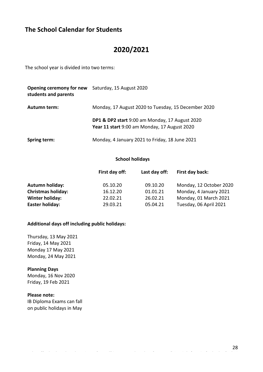## <span id="page-27-0"></span>**The School Calendar for Students**

# **2020/2021**

The school year is divided into two terms:

| Opening ceremony for new<br>students and parents | Saturday, 15 August 2020                                                                                  |  |
|--------------------------------------------------|-----------------------------------------------------------------------------------------------------------|--|
| Autumn term:                                     | Monday, 17 August 2020 to Tuesday, 15 December 2020                                                       |  |
|                                                  | <b>DP1 &amp; DP2 start</b> 9:00 am Monday, 17 August 2020<br>Year 11 start 9:00 am Monday, 17 August 2020 |  |
| Spring term:                                     | Monday, 4 January 2021 to Friday, 18 June 2021                                                            |  |

#### **School holidays**

|                           | First day off: | Last day off: | First day back:         |
|---------------------------|----------------|---------------|-------------------------|
| <b>Autumn holiday:</b>    | 05.10.20       | 09.10.20      | Monday, 12 October 2020 |
| <b>Christmas holiday:</b> | 16.12.20       | 01.01.21      | Monday, 4 January 2021  |
| <b>Winter holiday:</b>    | 22.02.21       | 26.02.21      | Monday, 01 March 2021   |
| <b>Easter holiday:</b>    | 29.03.21       | 05.04.21      | Tuesday, 06 April 2021  |

https://studentskagerak-my.sharepoint.com/personal/ni\_gustavsson\_skagerak\_org/Documents/01Practical Information/Student handbook HS

#### **Additional days off including public holidays:**

Thursday, 13 May 2021 Friday, 14 May 2021 Monday 17 May 2021 Monday, 24 May 2021

#### **Planning Days**

Monday, 16 Nov 2020 Friday, 19 Feb 2021

#### **Please note:**

IB Diploma Exams can fall on public holidays in May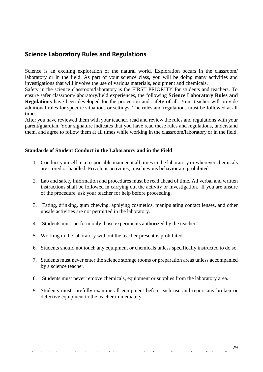## **Science Laboratory Rules and Regulations**

Science is an exciting exploration of the natural world. Exploration occurs in the classroom/ laboratory or in the field. As part of your science class, you will be doing many activities and investigations that will involve the use of various materials, equipment and chemicals.

Safety in the science classroom/laboratory is the FIRST PRIORITY for students and teachers. To ensure safer classroom/laboratory/field experiences, the following **Science Laboratory Rules and Regulations** have been developed for the protection and safety of all. Your teacher will provide additional rules for specific situations or settings. The rules and regulations must be followed at all times.

After you have reviewed them with your teacher, read and review the rules and regulations with your parent/guardian. Your signature indicates that you have read these rules and regulations, understand them, and agree to follow them at all times while working in the classroom/laboratory or in the field.

#### **Standards of Student Conduct in the Laboratory and in the Field**

- 1. Conduct yourself in a responsible manner at all times in the laboratory or wherever chemicals are stored or handled. Frivolous activities, mischievous behavior are prohibited.
- 2. Lab and safety information and procedures must be read ahead of time. All verbal and written instructions shall be followed in carrying out the activity or investigation. If you are unsure of the procedure, ask your teacher for help before proceeding.
- 3. Eating, drinking, gum chewing, applying cosmetics, manipulating contact lenses, and other unsafe activities are not permitted in the laboratory.
- 4. Students must perform only those experiments authorized by the teacher.
- 5. Working in the laboratory without the teacher present is prohibited.
- 6. Students should not touch any equipment or chemicals unless specifically instructed to do so.
- 7. Students must never enter the science storage rooms or preparation areas unless accompanied by a science teacher.
- 8. Students must never remove chemicals, equipment or supplies from the laboratory area.
- 9. Students must carefully examine all equipment before each use and report any broken or defective equipment to the teacher immediately.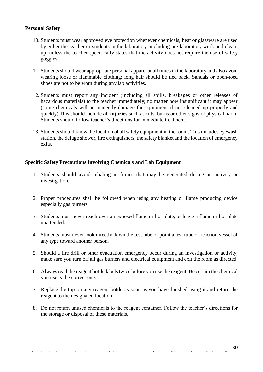#### **Personal Safety**

- 10. Students must wear approved eye protection whenever chemicals, heat or glassware are used by either the teacher or students in the laboratory, including pre-laboratory work and cleanup, unless the teacher specifically states that the activity does not require the use of safety goggles.
- 11. Students should wear appropriate personal apparel at all times in the laboratory and also avoid wearing loose or flammable clothing; long hair should be tied back. Sandals or open-toed shoes are not to be worn during any lab activities.
- 12. Students must report any incident (including all spills, breakages or other releases of hazardous materials) to the teacher immediately; no matter how insignificant it may appear (some chemicals will permanently damage the equipment if not cleaned up properly and quickly) This should include **all injuries** such as cuts, burns or other signs of physical harm. Students should follow teacher's directions for immediate treatment.
- 13. Students should know the location of all safety equipment in the room. This includes eyewash station, the deluge shower, fire extinguishers, the safety blanket and the location of emergency exits.

#### **Specific Safety Precautions Involving Chemicals and Lab Equipment**

- 1. Students should avoid inhaling in fumes that may be generated during an activity or investigation.
- 2. Proper procedures shall be followed when using any heating or flame producing device especially gas burners.
- 3. Students must never reach over an exposed flame or hot plate, or leave a flame or hot plate unattended.
- 4. Students must never look directly down the test tube or point a test tube or reaction vessel of any type toward another person.
- 5. Should a fire drill or other evacuation emergency occur during an investigation or activity, make sure you turn off all gas burners and electrical equipment and exit the room as directed.
- 6. Always read the reagent bottle labels twice before you use the reagent. Be certain the chemical you use is the correct one.
- 7. Replace the top on any reagent bottle as soon as you have finished using it and return the reagent to the designated location.
- 8. Do not return unused chemicals to the reagent container. Follow the teacher's directions for the storage or disposal of these materials.